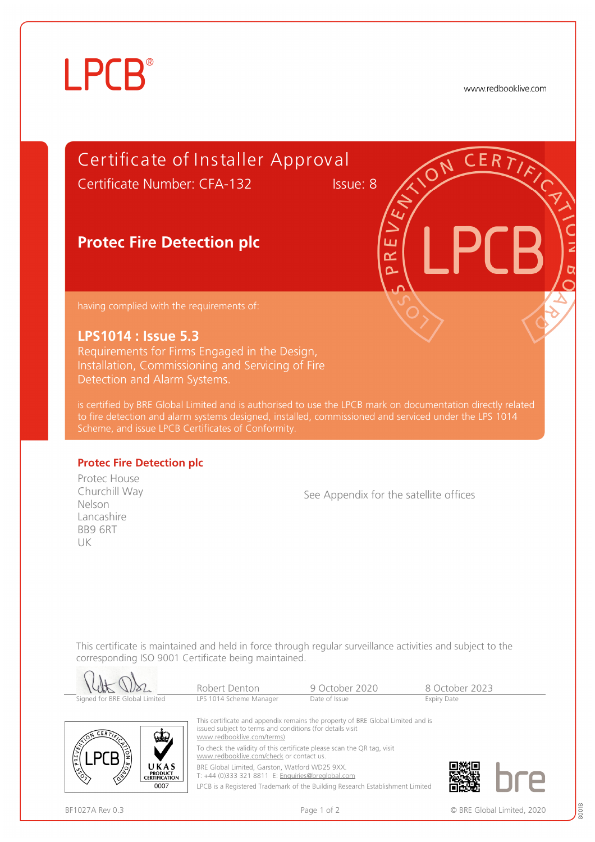# **LPCB**®

www.redbooklive.com

## Certificate of Installer Approv al

Certificate Number: CFA-132 Issue: 8

ய  $\alpha$  $\overline{\mathbf{a}}$ 

### **Protec Fire Detection plc**

having complied with the requirements of:

#### **LPS1014 : Issue 5.3**

Requirements for Firms Engaged in the Design, Installation, Commissioning and Servicing of Fire Detection and Alarm Systems.

is certified by BRE Global Limited and is authorised to use the LPCB mark on documentation directly related to fire detection and alarm systems designed, installed, commissioned and serviced under the LPS 1014

#### **Protec Fire Detection plc**

Protec House Churchill Way Nelson Lancashire BB9 6RT UK

See Appendix for the satellite offices

This certificate is maintained and held in force through regular surveillance activities and subject to the corresponding ISO 9001 Certificate being maintained.

|                                                              | Robert Denton                                                                                                                                                                                                                                                                                     | 9 October 2020                                                                | 8 October 2023     |  |  |
|--------------------------------------------------------------|---------------------------------------------------------------------------------------------------------------------------------------------------------------------------------------------------------------------------------------------------------------------------------------------------|-------------------------------------------------------------------------------|--------------------|--|--|
| Signed for BRE Global Limited                                | LPS 1014 Scheme Manager                                                                                                                                                                                                                                                                           | Date of Issue                                                                 | <b>Expiry Date</b> |  |  |
| <b>ERT</b><br>يعي<br>PREVENT                                 | This certificate and appendix remains the property of BRE Global Limited and is<br>issued subject to terms and conditions (for details visit<br>www.redbooklive.com/terms)<br>To check the validity of this certificate please scan the QR tag, visit<br>www.redbooklive.com/check or contact us. |                                                                               |                    |  |  |
|                                                              |                                                                                                                                                                                                                                                                                                   |                                                                               |                    |  |  |
| UKAS<br>$\sqrt{3}$<br><b>PRODUCT</b><br><b>CERTIFICATION</b> | BRE Global Limited, Garston, Watford WD25 9XX.<br>T: +44 (0)333 321 8811 E: Enquiries@breglobal.com                                                                                                                                                                                               |                                                                               |                    |  |  |
| 0007                                                         |                                                                                                                                                                                                                                                                                                   | LPCB is a Registered Trademark of the Building Research Establishment Limited |                    |  |  |